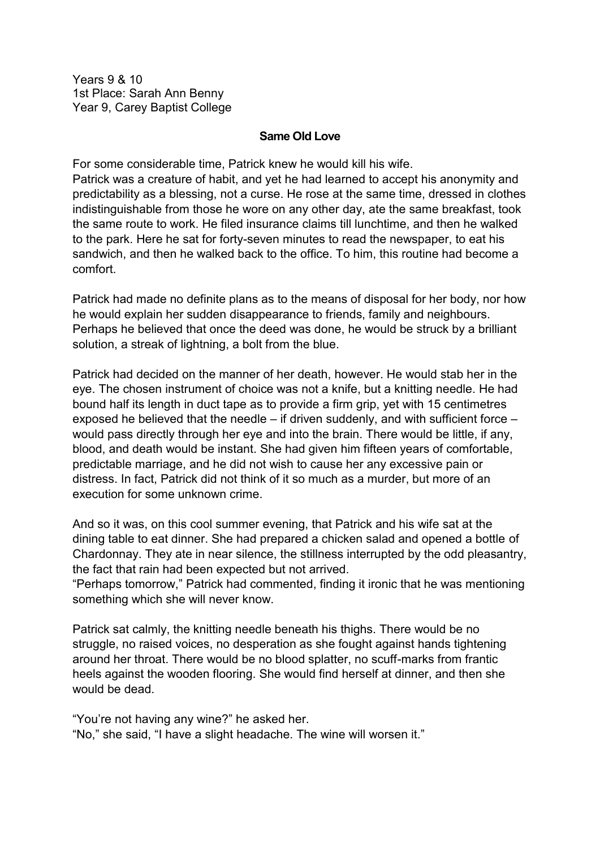Years 9 & 10 1st Place: Sarah Ann Benny Year 9, Carey Baptist College

## **Same Old Love**

For some considerable time, Patrick knew he would kill his wife. Patrick was a creature of habit, and yet he had learned to accept his anonymity and predictability as a blessing, not a curse. He rose at the same time, dressed in clothes indistinguishable from those he wore on any other day, ate the same breakfast, took the same route to work. He filed insurance claims till lunchtime, and then he walked to the park. Here he sat for forty-seven minutes to read the newspaper, to eat his sandwich, and then he walked back to the office. To him, this routine had become a comfort.

Patrick had made no definite plans as to the means of disposal for her body, nor how he would explain her sudden disappearance to friends, family and neighbours. Perhaps he believed that once the deed was done, he would be struck by a brilliant solution, a streak of lightning, a bolt from the blue.

Patrick had decided on the manner of her death, however. He would stab her in the eye. The chosen instrument of choice was not a knife, but a knitting needle. He had bound half its length in duct tape as to provide a firm grip, yet with 15 centimetres exposed he believed that the needle – if driven suddenly, and with sufficient force – would pass directly through her eye and into the brain. There would be little, if any, blood, and death would be instant. She had given him fifteen years of comfortable, predictable marriage, and he did not wish to cause her any excessive pain or distress. In fact, Patrick did not think of it so much as a murder, but more of an execution for some unknown crime.

And so it was, on this cool summer evening, that Patrick and his wife sat at the dining table to eat dinner. She had prepared a chicken salad and opened a bottle of Chardonnay. They ate in near silence, the stillness interrupted by the odd pleasantry, the fact that rain had been expected but not arrived.

"Perhaps tomorrow," Patrick had commented, finding it ironic that he was mentioning something which she will never know.

Patrick sat calmly, the knitting needle beneath his thighs. There would be no struggle, no raised voices, no desperation as she fought against hands tightening around her throat. There would be no blood splatter, no scuff-marks from frantic heels against the wooden flooring. She would find herself at dinner, and then she would be dead.

"You're not having any wine?" he asked her. "No," she said, "I have a slight headache. The wine will worsen it."